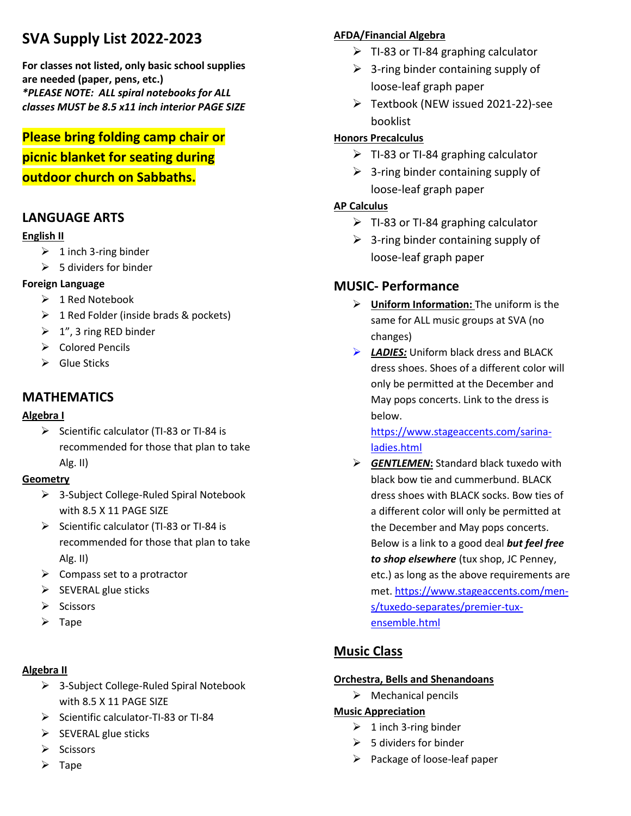# **SVA Supply List 2022-2023**

**For classes not listed, only basic school supplies are needed (paper, pens, etc.)** *\*PLEASE NOTE: ALL spiral notebooks for ALL classes MUST be 8.5 x11 inch interior PAGE SIZE*

**Please bring folding camp chair or picnic blanket for seating during outdoor church on Sabbaths.**

## **LANGUAGE ARTS**

### **English II**

- $\geq 1$  inch 3-ring binder
- $\geqslant$  5 dividers for binder

### **Foreign Language**

- ➢ 1 Red Notebook
- $\geq 1$  Red Folder (inside brads & pockets)
- $\geq 1$ ", 3 ring RED binder
- ➢ Colored Pencils
- $\triangleright$  Glue Sticks

## **MATHEMATICS**

### **Algebra I**

➢ Scientific calculator (TI-83 or TI-84 is recommended for those that plan to take Alg. II)

### **Geometry**

- ➢ 3-Subject College-Ruled Spiral Notebook with 8.5 X 11 PAGE SIZE
- ➢ Scientific calculator (TI-83 or TI-84 is recommended for those that plan to take Alg. II)
- $\triangleright$  Compass set to a protractor
- $\triangleright$  SEVERAL glue sticks
- ➢ Scissors
- ➢ Tape

### **Algebra II**

- ➢ 3-Subject College-Ruled Spiral Notebook with 8.5 X 11 PAGE SIZE
- ➢ Scientific calculator-TI-83 or TI-84
- $\triangleright$  SEVERAL glue sticks
- ➢ Scissors
- $\triangleright$  TI-83 or TI-84 graphing calculator
	- $\geq$  3-ring binder containing supply of loose-leaf graph paper
	- ➢ Textbook (NEW issued 2021-22)-see booklist

## **Honors Precalculus**

**AFDA/Financial Algebra**

- $\triangleright$  TI-83 or TI-84 graphing calculator
- $\triangleright$  3-ring binder containing supply of loose-leaf graph paper

## **AP Calculus**

- $\triangleright$  TI-83 or TI-84 graphing calculator
- $\geq$  3-ring binder containing supply of loose-leaf graph paper

## **MUSIC- Performance**

- ➢ **Uniform Information:** The uniform is the same for ALL music groups at SVA (no changes)
- ➢ *LADIES:* Uniform black dress and BLACK dress shoes. Shoes of a different color will only be permitted at the December and May pops concerts. Link to the dress is below.

[https://www.stageaccents.com/sarina](https://www.stageaccents.com/sarina-ladies.html)[ladies.html](https://www.stageaccents.com/sarina-ladies.html)

➢ *GENTLEMEN***:** Standard black tuxedo with black bow tie and cummerbund. BLACK dress shoes with BLACK socks. Bow ties of a different color will only be permitted at the December and May pops concerts. Below is a link to a good deal *but feel free to shop elsewhere* (tux shop, JC Penney, etc.) as long as the above requirements are met. [https://www.stageaccents.com/men](https://www.stageaccents.com/men-s/tuxedo-separates/premier-tux-ensemble.html)[s/tuxedo-separates/premier-tux](https://www.stageaccents.com/men-s/tuxedo-separates/premier-tux-ensemble.html)[ensemble.html](https://www.stageaccents.com/men-s/tuxedo-separates/premier-tux-ensemble.html)

# **Music Class**

## **Orchestra, Bells and Shenandoans**

 $\triangleright$  Mechanical pencils

## **Music Appreciation**

- $\geq 1$  inch 3-ring binder
- $\triangleright$  5 dividers for binder
- ➢ Package of loose-leaf paper

➢ Tape